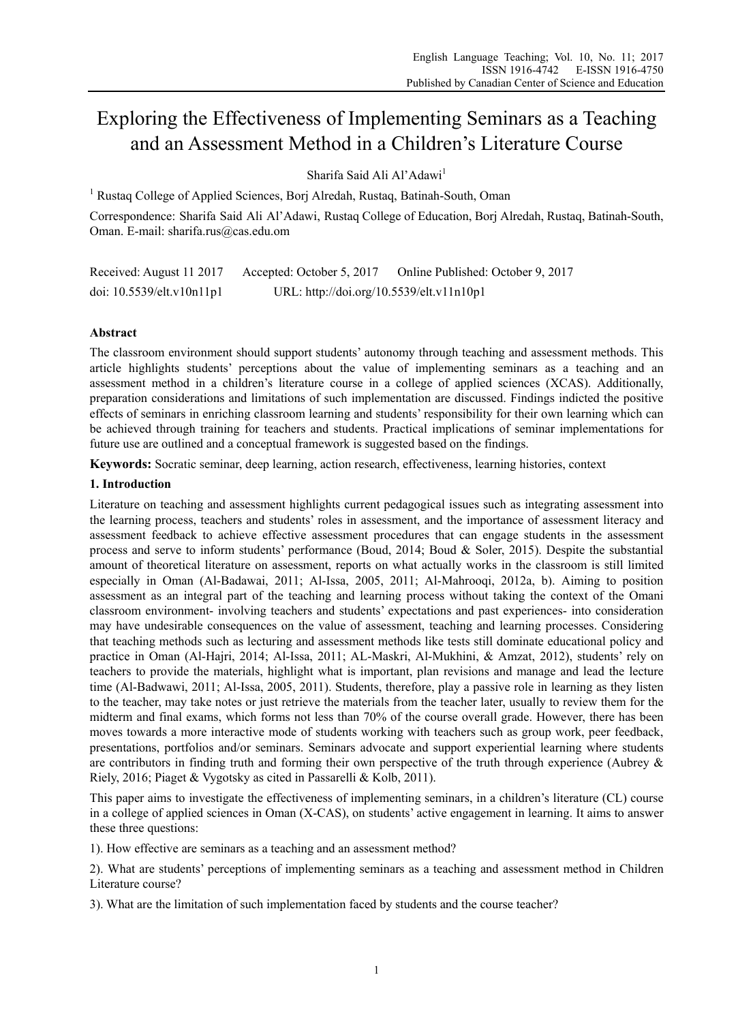# Exploring the Effectiveness of Implementing Seminars as a Teaching and an Assessment Method in a Children's Literature Course

Sharifa Said Ali Al'Adawi<sup>1</sup>

<sup>1</sup> Rustaq College of Applied Sciences, Borj Alredah, Rustaq, Batinah-South, Oman

Correspondence: Sharifa Said Ali Al'Adawi, Rustaq College of Education, Borj Alredah, Rustaq, Batinah-South, Oman. E-mail: sharifa.rus@cas.edu.om

Received: August 11 2017 Accepted: October 5, 2017 Online Published: October 9, 2017 doi: 10.5539/elt.v10n11p1 URL: http://doi.org/10.5539/elt.v11n10p1

# **Abstract**

The classroom environment should support students' autonomy through teaching and assessment methods. This article highlights students' perceptions about the value of implementing seminars as a teaching and an assessment method in a children's literature course in a college of applied sciences (XCAS). Additionally, preparation considerations and limitations of such implementation are discussed. Findings indicted the positive effects of seminars in enriching classroom learning and students' responsibility for their own learning which can be achieved through training for teachers and students. Practical implications of seminar implementations for future use are outlined and a conceptual framework is suggested based on the findings.

**Keywords:** Socratic seminar, deep learning, action research, effectiveness, learning histories, context

## **1. Introduction**

Literature on teaching and assessment highlights current pedagogical issues such as integrating assessment into the learning process, teachers and students' roles in assessment, and the importance of assessment literacy and assessment feedback to achieve effective assessment procedures that can engage students in the assessment process and serve to inform students' performance (Boud, 2014; Boud & Soler, 2015). Despite the substantial amount of theoretical literature on assessment, reports on what actually works in the classroom is still limited especially in Oman (Al-Badawai, 2011; Al-Issa, 2005, 2011; Al-Mahrooqi, 2012a, b). Aiming to position assessment as an integral part of the teaching and learning process without taking the context of the Omani classroom environment- involving teachers and students' expectations and past experiences- into consideration may have undesirable consequences on the value of assessment, teaching and learning processes. Considering that teaching methods such as lecturing and assessment methods like tests still dominate educational policy and practice in Oman (Al-Hajri, 2014; Al-Issa, 2011; AL-Maskri, Al-Mukhini, & Amzat, 2012), students' rely on teachers to provide the materials, highlight what is important, plan revisions and manage and lead the lecture time (Al-Badwawi, 2011; Al-Issa, 2005, 2011). Students, therefore, play a passive role in learning as they listen to the teacher, may take notes or just retrieve the materials from the teacher later, usually to review them for the midterm and final exams, which forms not less than 70% of the course overall grade. However, there has been moves towards a more interactive mode of students working with teachers such as group work, peer feedback, presentations, portfolios and/or seminars. Seminars advocate and support experiential learning where students are contributors in finding truth and forming their own perspective of the truth through experience (Aubrey & Riely, 2016; Piaget & Vygotsky as cited in Passarelli & Kolb, 2011).

This paper aims to investigate the effectiveness of implementing seminars, in a children's literature (CL) course in a college of applied sciences in Oman (X-CAS), on students' active engagement in learning. It aims to answer these three questions:

1). How effective are seminars as a teaching and an assessment method?

2). What are students' perceptions of implementing seminars as a teaching and assessment method in Children Literature course?

3). What are the limitation of such implementation faced by students and the course teacher?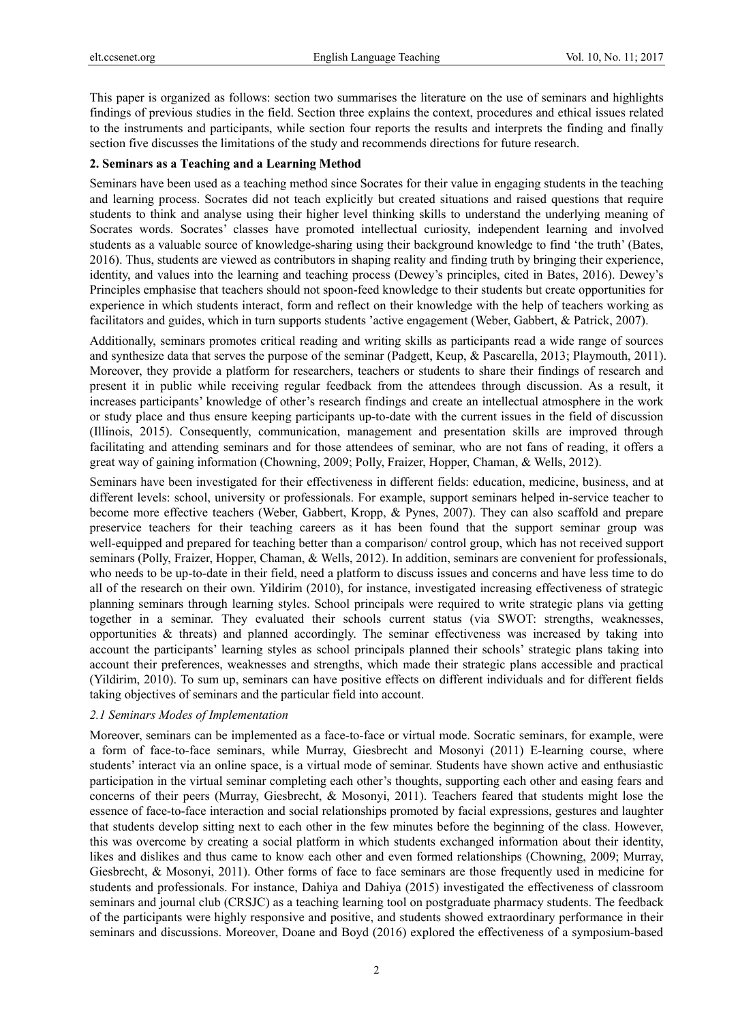This paper is organized as follows: section two summarises the literature on the use of seminars and highlights findings of previous studies in the field. Section three explains the context, procedures and ethical issues related to the instruments and participants, while section four reports the results and interprets the finding and finally section five discusses the limitations of the study and recommends directions for future research.

#### **2. Seminars as a Teaching and a Learning Method**

Seminars have been used as a teaching method since Socrates for their value in engaging students in the teaching and learning process. Socrates did not teach explicitly but created situations and raised questions that require students to think and analyse using their higher level thinking skills to understand the underlying meaning of Socrates words. Socrates' classes have promoted intellectual curiosity, independent learning and involved students as a valuable source of knowledge-sharing using their background knowledge to find 'the truth' (Bates, 2016). Thus, students are viewed as contributors in shaping reality and finding truth by bringing their experience, identity, and values into the learning and teaching process (Dewey's principles, cited in Bates, 2016). Dewey's Principles emphasise that teachers should not spoon-feed knowledge to their students but create opportunities for experience in which students interact, form and reflect on their knowledge with the help of teachers working as facilitators and guides, which in turn supports students 'active engagement (Weber, Gabbert, & Patrick, 2007).

Additionally, seminars promotes critical reading and writing skills as participants read a wide range of sources and synthesize data that serves the purpose of the seminar (Padgett, Keup, & Pascarella, 2013; Playmouth, 2011). Moreover, they provide a platform for researchers, teachers or students to share their findings of research and present it in public while receiving regular feedback from the attendees through discussion. As a result, it increases participants' knowledge of other's research findings and create an intellectual atmosphere in the work or study place and thus ensure keeping participants up-to-date with the current issues in the field of discussion (Illinois, 2015). Consequently, communication, management and presentation skills are improved through facilitating and attending seminars and for those attendees of seminar, who are not fans of reading, it offers a great way of gaining information (Chowning, 2009; Polly, Fraizer, Hopper, Chaman, & Wells, 2012).

Seminars have been investigated for their effectiveness in different fields: education, medicine, business, and at different levels: school, university or professionals. For example, support seminars helped in-service teacher to become more effective teachers (Weber, Gabbert, Kropp, & Pynes, 2007). They can also scaffold and prepare preservice teachers for their teaching careers as it has been found that the support seminar group was well-equipped and prepared for teaching better than a comparison/ control group, which has not received support seminars (Polly, Fraizer, Hopper, Chaman, & Wells, 2012). In addition, seminars are convenient for professionals, who needs to be up-to-date in their field, need a platform to discuss issues and concerns and have less time to do all of the research on their own. Yildirim (2010), for instance, investigated increasing effectiveness of strategic planning seminars through learning styles. School principals were required to write strategic plans via getting together in a seminar. They evaluated their schools current status (via SWOT: strengths, weaknesses, opportunities  $\&$  threats) and planned accordingly. The seminar effectiveness was increased by taking into account the participants' learning styles as school principals planned their schools' strategic plans taking into account their preferences, weaknesses and strengths, which made their strategic plans accessible and practical (Yildirim, 2010). To sum up, seminars can have positive effects on different individuals and for different fields taking objectives of seminars and the particular field into account.

#### *2.1 Seminars Modes of Implementation*

Moreover, seminars can be implemented as a face-to-face or virtual mode. Socratic seminars, for example, were a form of face-to-face seminars, while Murray, Giesbrecht and Mosonyi (2011) E-learning course, where students' interact via an online space, is a virtual mode of seminar. Students have shown active and enthusiastic participation in the virtual seminar completing each other's thoughts, supporting each other and easing fears and concerns of their peers (Murray, Giesbrecht, & Mosonyi, 2011). Teachers feared that students might lose the essence of face-to-face interaction and social relationships promoted by facial expressions, gestures and laughter that students develop sitting next to each other in the few minutes before the beginning of the class. However, this was overcome by creating a social platform in which students exchanged information about their identity, likes and dislikes and thus came to know each other and even formed relationships (Chowning, 2009; Murray, Giesbrecht, & Mosonyi, 2011). Other forms of face to face seminars are those frequently used in medicine for students and professionals. For instance, Dahiya and Dahiya (2015) investigated the effectiveness of classroom seminars and journal club (CRSJC) as a teaching learning tool on postgraduate pharmacy students. The feedback of the participants were highly responsive and positive, and students showed extraordinary performance in their seminars and discussions. Moreover, Doane and Boyd (2016) explored the effectiveness of a symposium-based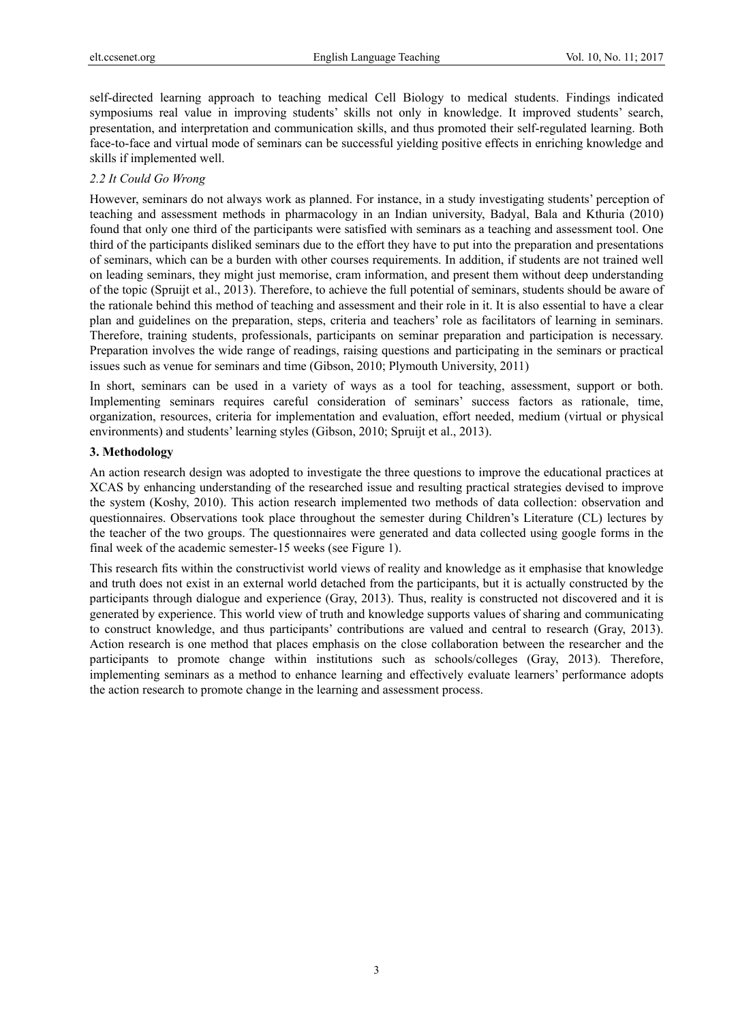self-directed learning approach to teaching medical Cell Biology to medical students. Findings indicated symposiums real value in improving students' skills not only in knowledge. It improved students' search, presentation, and interpretation and communication skills, and thus promoted their self-regulated learning. Both face-to-face and virtual mode of seminars can be successful yielding positive effects in enriching knowledge and skills if implemented well.

## *2.2 It Could Go Wrong*

However, seminars do not always work as planned. For instance, in a study investigating students' perception of teaching and assessment methods in pharmacology in an Indian university, Badyal, Bala and Kthuria (2010) found that only one third of the participants were satisfied with seminars as a teaching and assessment tool. One third of the participants disliked seminars due to the effort they have to put into the preparation and presentations of seminars, which can be a burden with other courses requirements. In addition, if students are not trained well on leading seminars, they might just memorise, cram information, and present them without deep understanding of the topic (Spruijt et al., 2013). Therefore, to achieve the full potential of seminars, students should be aware of the rationale behind this method of teaching and assessment and their role in it. It is also essential to have a clear plan and guidelines on the preparation, steps, criteria and teachers' role as facilitators of learning in seminars. Therefore, training students, professionals, participants on seminar preparation and participation is necessary. Preparation involves the wide range of readings, raising questions and participating in the seminars or practical issues such as venue for seminars and time (Gibson, 2010; Plymouth University, 2011)

In short, seminars can be used in a variety of ways as a tool for teaching, assessment, support or both. Implementing seminars requires careful consideration of seminars' success factors as rationale, time, organization, resources, criteria for implementation and evaluation, effort needed, medium (virtual or physical environments) and students' learning styles (Gibson, 2010; Spruijt et al., 2013).

### **3. Methodology**

An action research design was adopted to investigate the three questions to improve the educational practices at XCAS by enhancing understanding of the researched issue and resulting practical strategies devised to improve the system (Koshy, 2010). This action research implemented two methods of data collection: observation and questionnaires. Observations took place throughout the semester during Children's Literature (CL) lectures by the teacher of the two groups. The questionnaires were generated and data collected using google forms in the final week of the academic semester-15 weeks (see Figure 1).

This research fits within the constructivist world views of reality and knowledge as it emphasise that knowledge and truth does not exist in an external world detached from the participants, but it is actually constructed by the participants through dialogue and experience (Gray, 2013). Thus, reality is constructed not discovered and it is generated by experience. This world view of truth and knowledge supports values of sharing and communicating to construct knowledge, and thus participants' contributions are valued and central to research (Gray, 2013). Action research is one method that places emphasis on the close collaboration between the researcher and the participants to promote change within institutions such as schools/colleges (Gray, 2013). Therefore, implementing seminars as a method to enhance learning and effectively evaluate learners' performance adopts the action research to promote change in the learning and assessment process.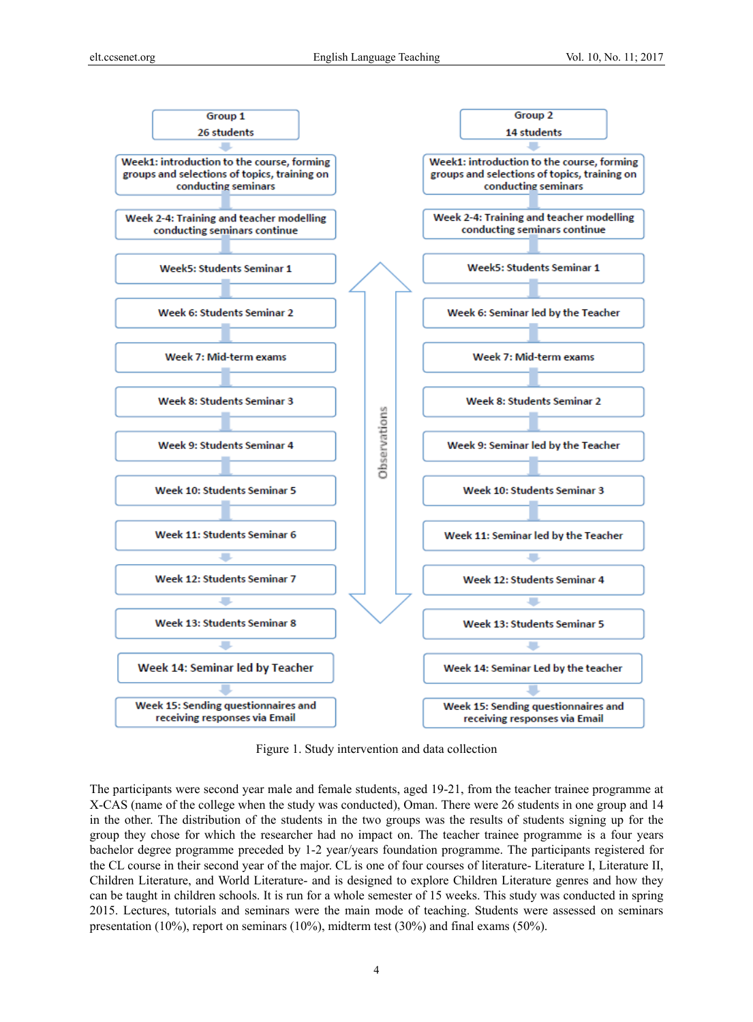

Figure 1. Study intervention and data collection

The participants were second year male and female students, aged 19-21, from the teacher trainee programme at X-CAS (name of the college when the study was conducted), Oman. There were 26 students in one group and 14 in the other. The distribution of the students in the two groups was the results of students signing up for the group they chose for which the researcher had no impact on. The teacher trainee programme is a four years bachelor degree programme preceded by 1-2 year/years foundation programme. The participants registered for the CL course in their second year of the major. CL is one of four courses of literature- Literature I, Literature II, Children Literature, and World Literature- and is designed to explore Children Literature genres and how they can be taught in children schools. It is run for a whole semester of 15 weeks. This study was conducted in spring 2015. Lectures, tutorials and seminars were the main mode of teaching. Students were assessed on seminars presentation (10%), report on seminars (10%), midterm test (30%) and final exams (50%).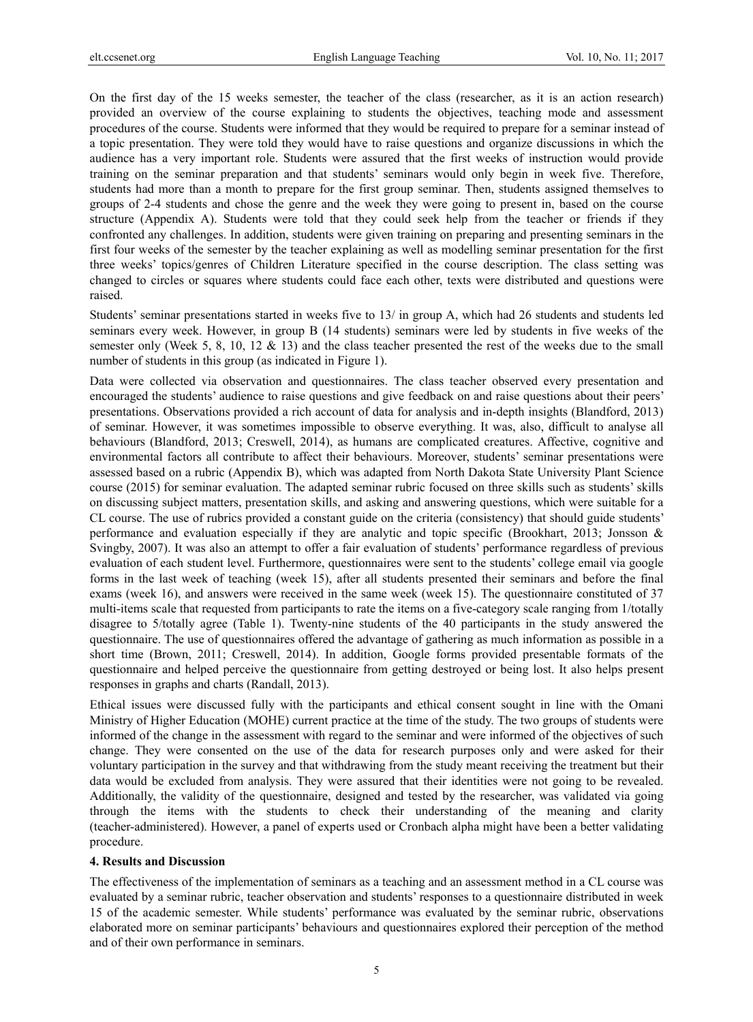On the first day of the 15 weeks semester, the teacher of the class (researcher, as it is an action research) provided an overview of the course explaining to students the objectives, teaching mode and assessment procedures of the course. Students were informed that they would be required to prepare for a seminar instead of a topic presentation. They were told they would have to raise questions and organize discussions in which the audience has a very important role. Students were assured that the first weeks of instruction would provide training on the seminar preparation and that students' seminars would only begin in week five. Therefore, students had more than a month to prepare for the first group seminar. Then, students assigned themselves to groups of 2-4 students and chose the genre and the week they were going to present in, based on the course structure (Appendix A). Students were told that they could seek help from the teacher or friends if they confronted any challenges. In addition, students were given training on preparing and presenting seminars in the first four weeks of the semester by the teacher explaining as well as modelling seminar presentation for the first three weeks' topics/genres of Children Literature specified in the course description. The class setting was changed to circles or squares where students could face each other, texts were distributed and questions were raised.

Students' seminar presentations started in weeks five to 13/ in group A, which had 26 students and students led seminars every week. However, in group B (14 students) seminars were led by students in five weeks of the semester only (Week 5, 8, 10, 12 & 13) and the class teacher presented the rest of the weeks due to the small number of students in this group (as indicated in Figure 1).

Data were collected via observation and questionnaires. The class teacher observed every presentation and encouraged the students' audience to raise questions and give feedback on and raise questions about their peers' presentations. Observations provided a rich account of data for analysis and in-depth insights (Blandford, 2013) of seminar. However, it was sometimes impossible to observe everything. It was, also, difficult to analyse all behaviours (Blandford, 2013; Creswell, 2014), as humans are complicated creatures. Affective, cognitive and environmental factors all contribute to affect their behaviours. Moreover, students' seminar presentations were assessed based on a rubric (Appendix B), which was adapted from North Dakota State University Plant Science course (2015) for seminar evaluation. The adapted seminar rubric focused on three skills such as students' skills on discussing subject matters, presentation skills, and asking and answering questions, which were suitable for a CL course. The use of rubrics provided a constant guide on the criteria (consistency) that should guide students' performance and evaluation especially if they are analytic and topic specific (Brookhart, 2013; Jonsson & Svingby, 2007). It was also an attempt to offer a fair evaluation of students' performance regardless of previous evaluation of each student level. Furthermore, questionnaires were sent to the students' college email via google forms in the last week of teaching (week 15), after all students presented their seminars and before the final exams (week 16), and answers were received in the same week (week 15). The questionnaire constituted of 37 multi-items scale that requested from participants to rate the items on a five-category scale ranging from 1/totally disagree to 5/totally agree (Table 1). Twenty-nine students of the 40 participants in the study answered the questionnaire. The use of questionnaires offered the advantage of gathering as much information as possible in a short time (Brown, 2011; Creswell, 2014). In addition, Google forms provided presentable formats of the questionnaire and helped perceive the questionnaire from getting destroyed or being lost. It also helps present responses in graphs and charts (Randall, 2013).

Ethical issues were discussed fully with the participants and ethical consent sought in line with the Omani Ministry of Higher Education (MOHE) current practice at the time of the study. The two groups of students were informed of the change in the assessment with regard to the seminar and were informed of the objectives of such change. They were consented on the use of the data for research purposes only and were asked for their voluntary participation in the survey and that withdrawing from the study meant receiving the treatment but their data would be excluded from analysis. They were assured that their identities were not going to be revealed. Additionally, the validity of the questionnaire, designed and tested by the researcher, was validated via going through the items with the students to check their understanding of the meaning and clarity (teacher-administered). However, a panel of experts used or Cronbach alpha might have been a better validating procedure.

### **4. Results and Discussion**

The effectiveness of the implementation of seminars as a teaching and an assessment method in a CL course was evaluated by a seminar rubric, teacher observation and students' responses to a questionnaire distributed in week 15 of the academic semester. While students' performance was evaluated by the seminar rubric, observations elaborated more on seminar participants' behaviours and questionnaires explored their perception of the method and of their own performance in seminars.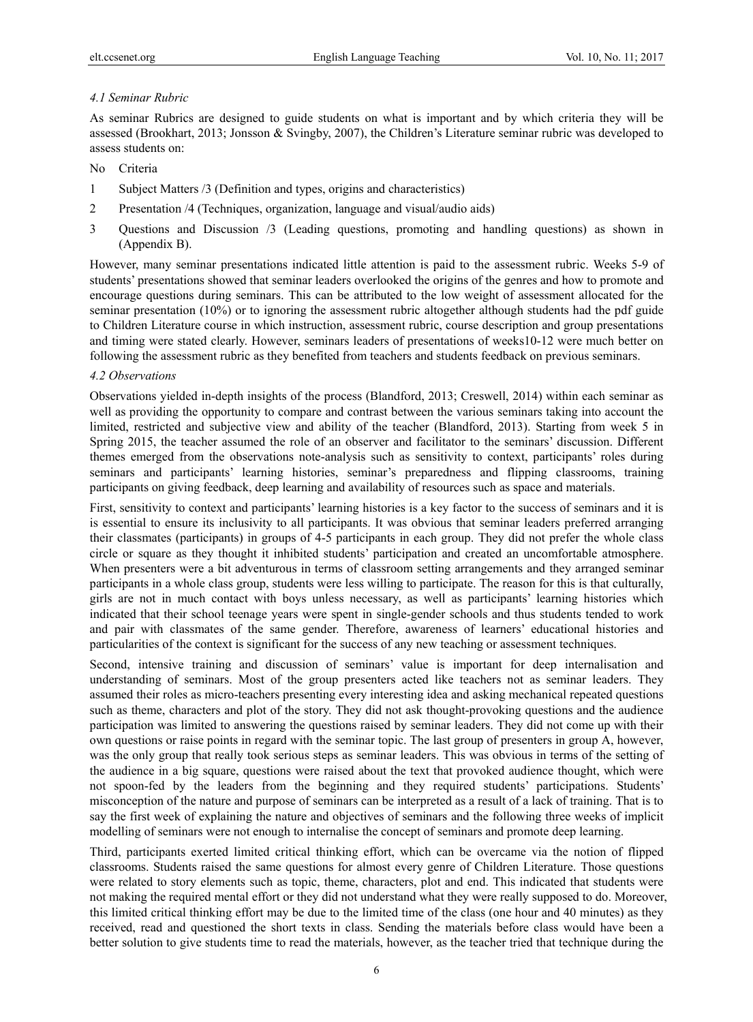### *4.1 Seminar Rubric*

As seminar Rubrics are designed to guide students on what is important and by which criteria they will be assessed (Brookhart, 2013; Jonsson & Svingby, 2007), the Children's Literature seminar rubric was developed to assess students on:

No Criteria

- 1 Subject Matters /3 (Definition and types, origins and characteristics)
- 2 Presentation /4 (Techniques, organization, language and visual/audio aids)
- 3 Questions and Discussion /3 (Leading questions, promoting and handling questions) as shown in (Appendix B).

However, many seminar presentations indicated little attention is paid to the assessment rubric. Weeks 5-9 of students' presentations showed that seminar leaders overlooked the origins of the genres and how to promote and encourage questions during seminars. This can be attributed to the low weight of assessment allocated for the seminar presentation (10%) or to ignoring the assessment rubric altogether although students had the pdf guide to Children Literature course in which instruction, assessment rubric, course description and group presentations and timing were stated clearly. However, seminars leaders of presentations of weeks10-12 were much better on following the assessment rubric as they benefited from teachers and students feedback on previous seminars.

### *4.2 Observations*

Observations yielded in-depth insights of the process (Blandford, 2013; Creswell, 2014) within each seminar as well as providing the opportunity to compare and contrast between the various seminars taking into account the limited, restricted and subjective view and ability of the teacher (Blandford, 2013). Starting from week 5 in Spring 2015, the teacher assumed the role of an observer and facilitator to the seminars' discussion. Different themes emerged from the observations note-analysis such as sensitivity to context, participants' roles during seminars and participants' learning histories, seminar's preparedness and flipping classrooms, training participants on giving feedback, deep learning and availability of resources such as space and materials.

First, sensitivity to context and participants' learning histories is a key factor to the success of seminars and it is is essential to ensure its inclusivity to all participants. It was obvious that seminar leaders preferred arranging their classmates (participants) in groups of 4-5 participants in each group. They did not prefer the whole class circle or square as they thought it inhibited students' participation and created an uncomfortable atmosphere. When presenters were a bit adventurous in terms of classroom setting arrangements and they arranged seminar participants in a whole class group, students were less willing to participate. The reason for this is that culturally, girls are not in much contact with boys unless necessary, as well as participants' learning histories which indicated that their school teenage years were spent in single-gender schools and thus students tended to work and pair with classmates of the same gender. Therefore, awareness of learners' educational histories and particularities of the context is significant for the success of any new teaching or assessment techniques.

Second, intensive training and discussion of seminars' value is important for deep internalisation and understanding of seminars. Most of the group presenters acted like teachers not as seminar leaders. They assumed their roles as micro-teachers presenting every interesting idea and asking mechanical repeated questions such as theme, characters and plot of the story. They did not ask thought-provoking questions and the audience participation was limited to answering the questions raised by seminar leaders. They did not come up with their own questions or raise points in regard with the seminar topic. The last group of presenters in group A, however, was the only group that really took serious steps as seminar leaders. This was obvious in terms of the setting of the audience in a big square, questions were raised about the text that provoked audience thought, which were not spoon-fed by the leaders from the beginning and they required students' participations. Students' misconception of the nature and purpose of seminars can be interpreted as a result of a lack of training. That is to say the first week of explaining the nature and objectives of seminars and the following three weeks of implicit modelling of seminars were not enough to internalise the concept of seminars and promote deep learning.

Third, participants exerted limited critical thinking effort, which can be overcame via the notion of flipped classrooms. Students raised the same questions for almost every genre of Children Literature. Those questions were related to story elements such as topic, theme, characters, plot and end. This indicated that students were not making the required mental effort or they did not understand what they were really supposed to do. Moreover, this limited critical thinking effort may be due to the limited time of the class (one hour and 40 minutes) as they received, read and questioned the short texts in class. Sending the materials before class would have been a better solution to give students time to read the materials, however, as the teacher tried that technique during the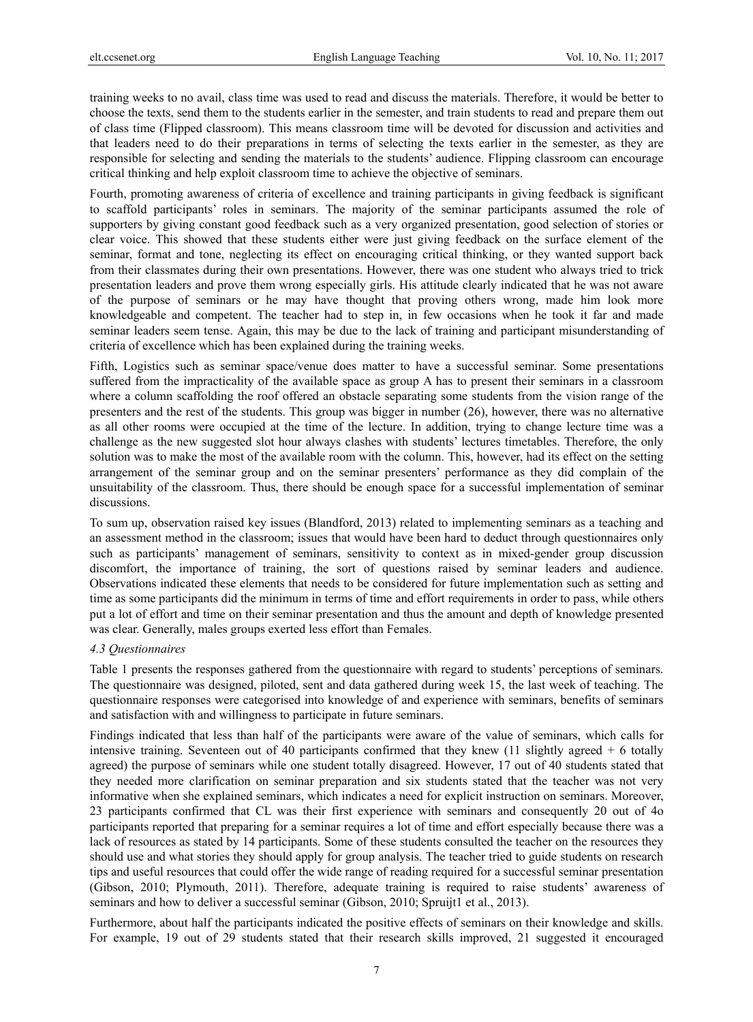training weeks to no avail, class time was used to read and discuss the materials. Therefore, it would be better to choose the texts, send them to the students earlier in the semester, and train students to read and prepare them out of class time (Flipped classroom). This means classroom time will be devoted for discussion and activities and that leaders need to do their preparations in terms of selecting the texts earlier in the semester, as they are responsible for selecting and sending the materials to the students' audience. Flipping classroom can encourage critical thinking and help exploit classroom time to achieve the objective of seminars.

Fourth, promoting awareness of criteria of excellence and training participants in giving feedback is significant to scaffold participants' roles in seminars. The majority of the seminar participants assumed the role of supporters by giving constant good feedback such as a very organized presentation, good selection of stories or clear voice. This showed that these students either were just giving feedback on the surface element of the seminar, format and tone, neglecting its effect on encouraging critical thinking, or they wanted support back from their classmates during their own presentations. However, there was one student who always tried to trick presentation leaders and prove them wrong especially girls. His attitude clearly indicated that he was not aware of the purpose of seminars or he may have thought that proving others wrong, made him look more knowledgeable and competent. The teacher had to step in, in few occasions when he took it far and made seminar leaders seem tense. Again, this may be due to the lack of training and participant misunderstanding of criteria of excellence which has been explained during the training weeks.

Fifth, Logistics such as seminar space/venue does matter to have a successful seminar. Some presentations suffered from the impracticality of the available space as group A has to present their seminars in a classroom where a column scaffolding the roof offered an obstacle separating some students from the vision range of the presenters and the rest of the students. This group was bigger in number (26), however, there was no alternative as all other rooms were occupied at the time of the lecture. In addition, trying to change lecture time was a challenge as the new suggested slot hour always clashes with students' lectures timetables. Therefore, the only solution was to make the most of the available room with the column. This, however, had its effect on the setting arrangement of the seminar group and on the seminar presenters' performance as they did complain of the unsuitability of the classroom. Thus, there should be enough space for a successful implementation of seminar discussions.

To sum up, observation raised key issues (Blandford, 2013) related to implementing seminars as a teaching and an assessment method in the classroom; issues that would have been hard to deduct through questionnaires only such as participants' management of seminars, sensitivity to context as in mixed-gender group discussion discomfort, the importance of training, the sort of questions raised by seminar leaders and audience. Observations indicated these elements that needs to be considered for future implementation such as setting and time as some participants did the minimum in terms of time and effort requirements in order to pass, while others put a lot of effort and time on their seminar presentation and thus the amount and depth of knowledge presented was clear. Generally, males groups exerted less effort than Females.

#### *4.3 Questionnaires*

Table 1 presents the responses gathered from the questionnaire with regard to students' perceptions of seminars. The questionnaire was designed, piloted, sent and data gathered during week 15, the last week of teaching. The questionnaire responses were categorised into knowledge of and experience with seminars, benefits of seminars and satisfaction with and willingness to participate in future seminars.

Findings indicated that less than half of the participants were aware of the value of seminars, which calls for intensive training. Seventeen out of 40 participants confirmed that they knew (11 slightly agreed + 6 totally agreed) the purpose of seminars while one student totally disagreed. However, 17 out of 40 students stated that they needed more clarification on seminar preparation and six students stated that the teacher was not very informative when she explained seminars, which indicates a need for explicit instruction on seminars. Moreover, 23 participants confirmed that CL was their first experience with seminars and consequently 20 out of 4o participants reported that preparing for a seminar requires a lot of time and effort especially because there was a lack of resources as stated by 14 participants. Some of these students consulted the teacher on the resources they should use and what stories they should apply for group analysis. The teacher tried to guide students on research tips and useful resources that could offer the wide range of reading required for a successful seminar presentation (Gibson, 2010; Plymouth, 2011). Therefore, adequate training is required to raise students' awareness of seminars and how to deliver a successful seminar (Gibson, 2010; Spruijt1 et al., 2013).

Furthermore, about half the participants indicated the positive effects of seminars on their knowledge and skills. For example, 19 out of 29 students stated that their research skills improved, 21 suggested it encouraged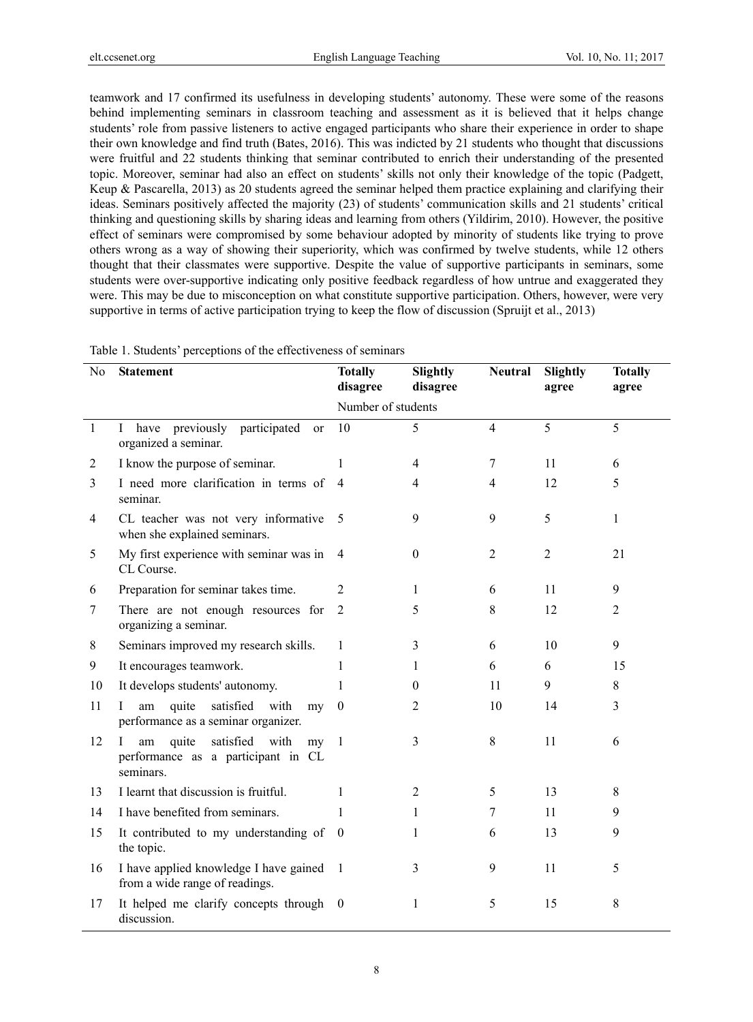teamwork and 17 confirmed its usefulness in developing students' autonomy. These were some of the reasons behind implementing seminars in classroom teaching and assessment as it is believed that it helps change students' role from passive listeners to active engaged participants who share their experience in order to shape their own knowledge and find truth (Bates, 2016). This was indicted by 21 students who thought that discussions were fruitful and 22 students thinking that seminar contributed to enrich their understanding of the presented topic. Moreover, seminar had also an effect on students' skills not only their knowledge of the topic (Padgett, Keup & Pascarella, 2013) as 20 students agreed the seminar helped them practice explaining and clarifying their ideas. Seminars positively affected the majority (23) of students' communication skills and 21 students' critical thinking and questioning skills by sharing ideas and learning from others (Yildirim, 2010). However, the positive effect of seminars were compromised by some behaviour adopted by minority of students like trying to prove others wrong as a way of showing their superiority, which was confirmed by twelve students, while 12 others thought that their classmates were supportive. Despite the value of supportive participants in seminars, some students were over-supportive indicating only positive feedback regardless of how untrue and exaggerated they were. This may be due to misconception on what constitute supportive participation. Others, however, were very supportive in terms of active participation trying to keep the flow of discussion (Spruijt et al., 2013)

| N <sub>0</sub> | <b>Statement</b>                                                                          | <b>Totally</b><br>disagree | Slightly<br>disagree | <b>Neutral</b> | <b>Slightly</b><br>agree | <b>Totally</b><br>agree |
|----------------|-------------------------------------------------------------------------------------------|----------------------------|----------------------|----------------|--------------------------|-------------------------|
|                |                                                                                           | Number of students         |                      |                |                          |                         |
| 1              | have previously<br>participated<br>L<br><sub>or</sub><br>organized a seminar.             | 10                         | 5                    | $\overline{4}$ | 5                        | 5                       |
| 2              | I know the purpose of seminar.                                                            | 1                          | 4                    | 7              | 11                       | 6                       |
| 3              | I need more clarification in terms of<br>seminar.                                         | $\overline{4}$             | 4                    | 4              | 12                       | 5                       |
| 4              | CL teacher was not very informative<br>when she explained seminars.                       | 5                          | 9                    | 9              | 5                        | $\mathbf{1}$            |
| 5              | My first experience with seminar was in<br>CL Course.                                     | 4                          | $\boldsymbol{0}$     | 2              | 2                        | 21                      |
| 6              | Preparation for seminar takes time.                                                       | 2                          | 1                    | 6              | 11                       | 9                       |
| 7              | There are not enough resources for<br>organizing a seminar.                               | 2                          | 5                    | 8              | 12                       | 2                       |
| 8              | Seminars improved my research skills.                                                     | 1                          | 3                    | 6              | 10                       | 9                       |
| 9              | It encourages teamwork.                                                                   | 1                          | 1                    | 6              | 6                        | 15                      |
| 10             | It develops students' autonomy.                                                           | 1                          | 0                    | 11             | 9                        | 8                       |
| 11             | satisfied with<br>quite<br>am<br>my<br>Τ<br>performance as a seminar organizer.           | $\mathbf{0}$               | 2                    | 10             | 14                       | 3                       |
| 12             | satisfied<br>with<br>quite<br>am<br>my<br>performance as a participant in CL<br>seminars. | $\mathbf{1}$               | 3                    | 8              | 11                       | 6                       |
| 13             | I learnt that discussion is fruitful.                                                     | 1                          | 2                    | 5              | 13                       | 8                       |
| 14             | I have benefited from seminars.                                                           | 1                          | 1                    | 7              | 11                       | 9                       |
| 15             | It contributed to my understanding of<br>the topic.                                       | $\mathbf{0}$               | 1                    | 6              | 13                       | 9                       |
| 16             | I have applied knowledge I have gained<br>from a wide range of readings.                  | -1                         | 3                    | 9              | 11                       | 5                       |
| 17             | It helped me clarify concepts through<br>discussion.                                      | $\theta$                   | 1                    | 5              | 15                       | 8                       |

Table 1. Students' perceptions of the effectiveness of seminars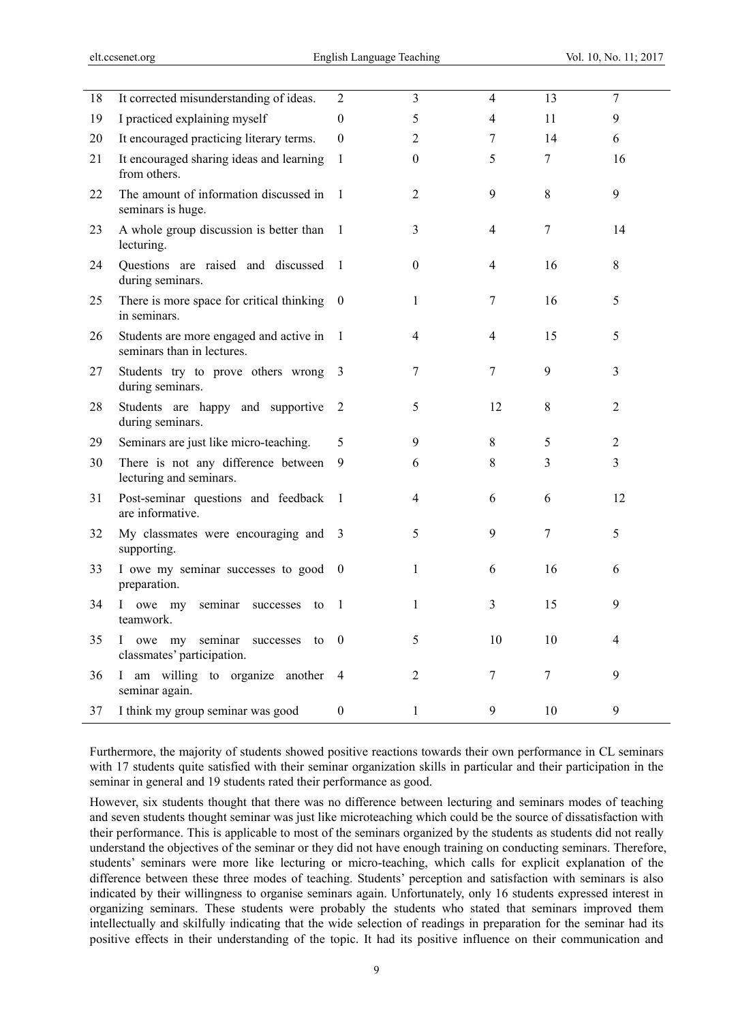| 18 | It corrected misunderstanding of ideas.                               | $\overline{2}$ | 3                | 4              | 13 | $\overline{7}$ |
|----|-----------------------------------------------------------------------|----------------|------------------|----------------|----|----------------|
| 19 | I practiced explaining myself                                         | $\Omega$       | 5                | 4              | 11 | 9              |
| 20 | It encouraged practicing literary terms.                              | $\theta$       | 2                | 7              | 14 | 6              |
| 21 | It encouraged sharing ideas and learning<br>from others.              | $\mathbf{1}$   | $\theta$         | 5              | 7  | 16             |
| 22 | The amount of information discussed in<br>seminars is huge.           | $\overline{1}$ | 2                | 9              | 8  | 9              |
| 23 | A whole group discussion is better than<br>lecturing.                 | $\overline{1}$ | 3                | 4              | 7  | 14             |
| 24 | Questions are raised and discussed<br>during seminars.                | $\overline{1}$ | $\boldsymbol{0}$ | 4              | 16 | 8              |
| 25 | There is more space for critical thinking<br>in seminars.             | $\mathbf{0}$   | 1                | 7              | 16 | 5              |
| 26 | Students are more engaged and active in<br>seminars than in lectures. | -1             | $\overline{4}$   | $\overline{4}$ | 15 | 5              |
| 27 | Students try to prove others wrong<br>during seminars.                | 3              | 7                | 7              | 9  | 3              |
| 28 | Students are happy and supportive<br>during seminars.                 | 2              | 5                | 12             | 8  | 2              |
| 29 | Seminars are just like micro-teaching.                                | 5              | 9                | 8              | 5  | $\overline{2}$ |
| 30 | There is not any difference between<br>lecturing and seminars.        | 9              | 6                | 8              | 3  | 3              |
| 31 | Post-seminar questions and feedback<br>are informative.               | -1             | 4                | 6              | 6  | 12             |
| 32 | My classmates were encouraging and<br>supporting.                     | 3              | 5                | 9              | 7  | 5              |
| 33 | I owe my seminar successes to good<br>preparation.                    | $\theta$       | 1                | 6              | 16 | 6              |
| 34 | seminar<br>I owe my<br>successes<br>to<br>teamwork.                   | $\overline{1}$ | $\mathbf{1}$     | 3              | 15 | 9              |
| 35 | seminar<br>I owe my<br>successes<br>to<br>classmates' participation.  | $\theta$       | 5                | 10             | 10 | 4              |
| 36 | I am willing to organize another<br>seminar again.                    | 4              | 2                | 7              | 7  | 9              |
| 37 | I think my group seminar was good                                     | $\mathbf{0}$   | 1                | 9              | 10 | 9              |
|    |                                                                       |                |                  |                |    |                |

Furthermore, the majority of students showed positive reactions towards their own performance in CL seminars with 17 students quite satisfied with their seminar organization skills in particular and their participation in the seminar in general and 19 students rated their performance as good.

However, six students thought that there was no difference between lecturing and seminars modes of teaching and seven students thought seminar was just like microteaching which could be the source of dissatisfaction with their performance. This is applicable to most of the seminars organized by the students as students did not really understand the objectives of the seminar or they did not have enough training on conducting seminars. Therefore, students' seminars were more like lecturing or micro-teaching, which calls for explicit explanation of the difference between these three modes of teaching. Students' perception and satisfaction with seminars is also indicated by their willingness to organise seminars again. Unfortunately, only 16 students expressed interest in organizing seminars. These students were probably the students who stated that seminars improved them intellectually and skilfully indicating that the wide selection of readings in preparation for the seminar had its positive effects in their understanding of the topic. It had its positive influence on their communication and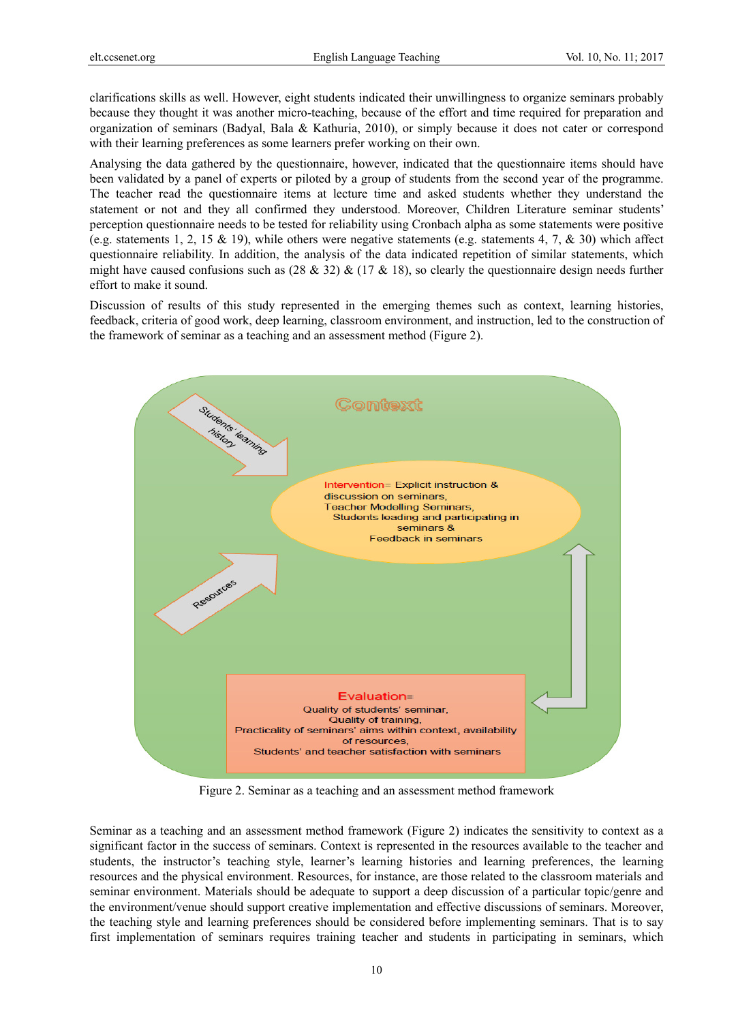clarifications skills as well. However, eight students indicated their unwillingness to organize seminars probably because they thought it was another micro-teaching, because of the effort and time required for preparation and organization of seminars (Badyal, Bala & Kathuria, 2010), or simply because it does not cater or correspond with their learning preferences as some learners prefer working on their own.

Analysing the data gathered by the questionnaire, however, indicated that the questionnaire items should have been validated by a panel of experts or piloted by a group of students from the second year of the programme. The teacher read the questionnaire items at lecture time and asked students whether they understand the statement or not and they all confirmed they understood. Moreover, Children Literature seminar students' perception questionnaire needs to be tested for reliability using Cronbach alpha as some statements were positive (e.g. statements 1, 2, 15 & 19), while others were negative statements (e.g. statements 4, 7, & 30) which affect questionnaire reliability. In addition, the analysis of the data indicated repetition of similar statements, which might have caused confusions such as  $(28 \& 32) \& (17 \& 18)$ , so clearly the questionnaire design needs further effort to make it sound.

Discussion of results of this study represented in the emerging themes such as context, learning histories, feedback, criteria of good work, deep learning, classroom environment, and instruction, led to the construction of the framework of seminar as a teaching and an assessment method (Figure 2).



Figure 2. Seminar as a teaching and an assessment method framework

Seminar as a teaching and an assessment method framework (Figure 2) indicates the sensitivity to context as a significant factor in the success of seminars. Context is represented in the resources available to the teacher and students, the instructor's teaching style, learner's learning histories and learning preferences, the learning resources and the physical environment. Resources, for instance, are those related to the classroom materials and seminar environment. Materials should be adequate to support a deep discussion of a particular topic/genre and the environment/venue should support creative implementation and effective discussions of seminars. Moreover, the teaching style and learning preferences should be considered before implementing seminars. That is to say first implementation of seminars requires training teacher and students in participating in seminars, which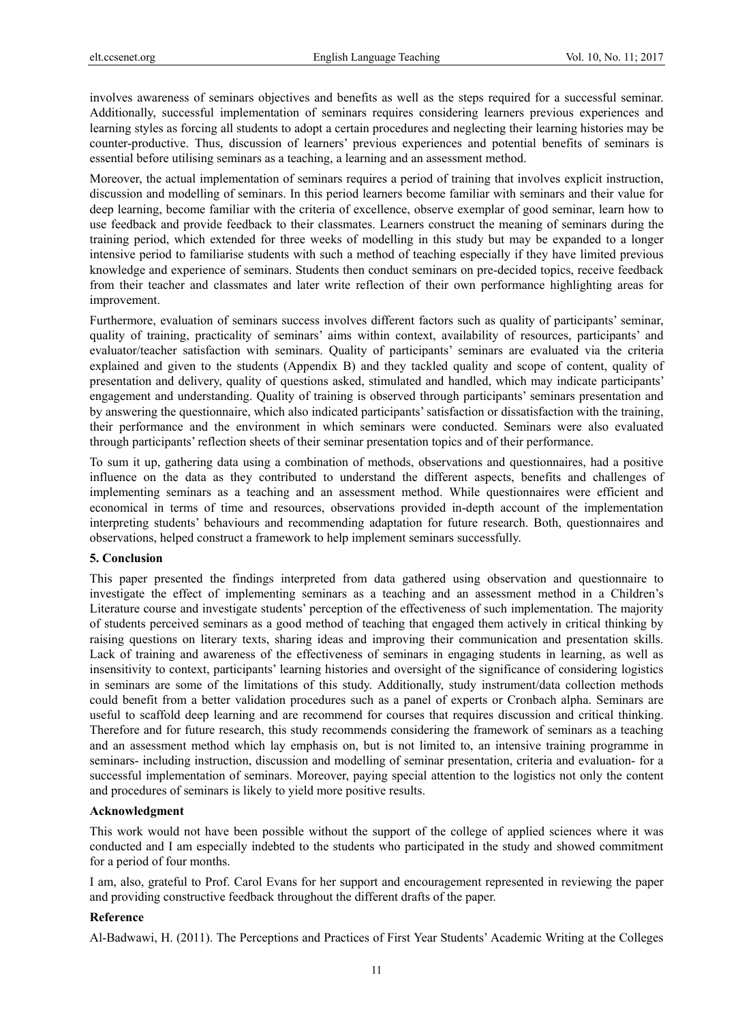involves awareness of seminars objectives and benefits as well as the steps required for a successful seminar. Additionally, successful implementation of seminars requires considering learners previous experiences and learning styles as forcing all students to adopt a certain procedures and neglecting their learning histories may be counter-productive. Thus, discussion of learners' previous experiences and potential benefits of seminars is essential before utilising seminars as a teaching, a learning and an assessment method.

Moreover, the actual implementation of seminars requires a period of training that involves explicit instruction, discussion and modelling of seminars. In this period learners become familiar with seminars and their value for deep learning, become familiar with the criteria of excellence, observe exemplar of good seminar, learn how to use feedback and provide feedback to their classmates. Learners construct the meaning of seminars during the training period, which extended for three weeks of modelling in this study but may be expanded to a longer intensive period to familiarise students with such a method of teaching especially if they have limited previous knowledge and experience of seminars. Students then conduct seminars on pre-decided topics, receive feedback from their teacher and classmates and later write reflection of their own performance highlighting areas for improvement.

Furthermore, evaluation of seminars success involves different factors such as quality of participants' seminar, quality of training, practicality of seminars' aims within context, availability of resources, participants' and evaluator/teacher satisfaction with seminars. Quality of participants' seminars are evaluated via the criteria explained and given to the students (Appendix B) and they tackled quality and scope of content, quality of presentation and delivery, quality of questions asked, stimulated and handled, which may indicate participants' engagement and understanding. Quality of training is observed through participants' seminars presentation and by answering the questionnaire, which also indicated participants' satisfaction or dissatisfaction with the training, their performance and the environment in which seminars were conducted. Seminars were also evaluated through participants' reflection sheets of their seminar presentation topics and of their performance.

To sum it up, gathering data using a combination of methods, observations and questionnaires, had a positive influence on the data as they contributed to understand the different aspects, benefits and challenges of implementing seminars as a teaching and an assessment method. While questionnaires were efficient and economical in terms of time and resources, observations provided in-depth account of the implementation interpreting students' behaviours and recommending adaptation for future research. Both, questionnaires and observations, helped construct a framework to help implement seminars successfully.

#### **5. Conclusion**

This paper presented the findings interpreted from data gathered using observation and questionnaire to investigate the effect of implementing seminars as a teaching and an assessment method in a Children's Literature course and investigate students' perception of the effectiveness of such implementation. The majority of students perceived seminars as a good method of teaching that engaged them actively in critical thinking by raising questions on literary texts, sharing ideas and improving their communication and presentation skills. Lack of training and awareness of the effectiveness of seminars in engaging students in learning, as well as insensitivity to context, participants' learning histories and oversight of the significance of considering logistics in seminars are some of the limitations of this study. Additionally, study instrument/data collection methods could benefit from a better validation procedures such as a panel of experts or Cronbach alpha. Seminars are useful to scaffold deep learning and are recommend for courses that requires discussion and critical thinking. Therefore and for future research, this study recommends considering the framework of seminars as a teaching and an assessment method which lay emphasis on, but is not limited to, an intensive training programme in seminars- including instruction, discussion and modelling of seminar presentation, criteria and evaluation- for a successful implementation of seminars. Moreover, paying special attention to the logistics not only the content and procedures of seminars is likely to yield more positive results.

### **Acknowledgment**

This work would not have been possible without the support of the college of applied sciences where it was conducted and I am especially indebted to the students who participated in the study and showed commitment for a period of four months.

I am, also, grateful to Prof. Carol Evans for her support and encouragement represented in reviewing the paper and providing constructive feedback throughout the different drafts of the paper.

#### **Reference**

Al-Badwawi, H. (2011). The Perceptions and Practices of First Year Students' Academic Writing at the Colleges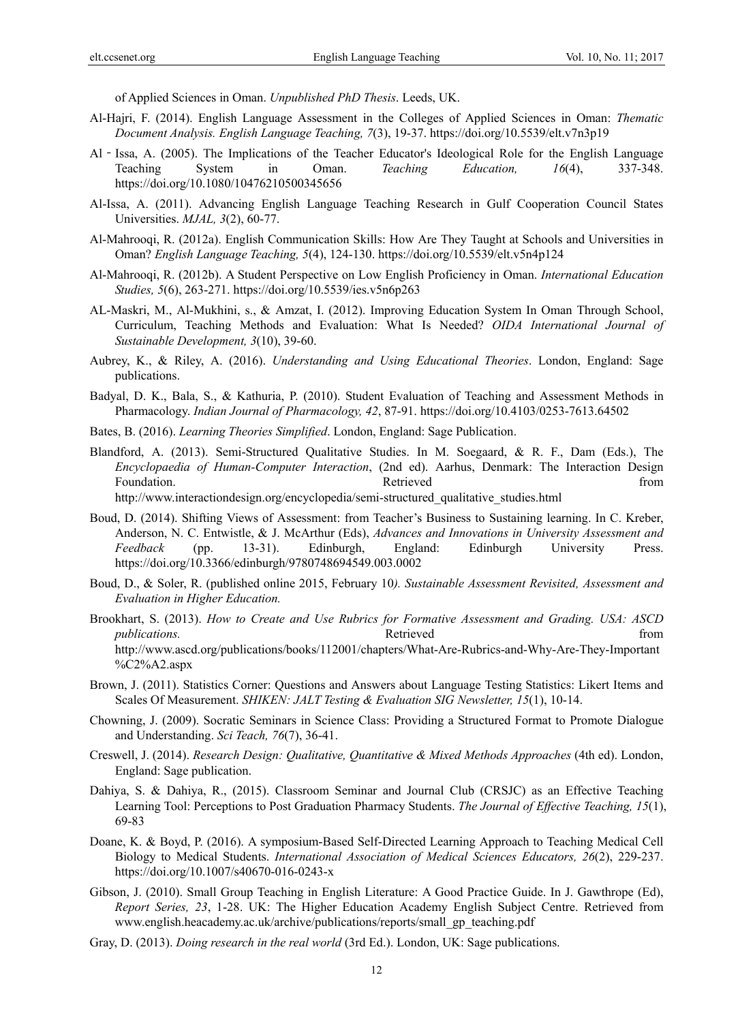of Applied Sciences in Oman. *Unpublished PhD Thesis*. Leeds, UK.

- Al-Hajri, F. (2014). English Language Assessment in the Colleges of Applied Sciences in Oman: *Thematic Document Analysis. English Language Teaching, 7*(3), 19-37. https://doi.org/10.5539/elt.v7n3p19
- Al Issa, A. (2005). The Implications of the Teacher Educator's Ideological Role for the English Language Teaching System in Oman. *Teaching Education, 16*(4), 337-348. https://doi.org/10.1080/10476210500345656
- Al-Issa, A. (2011). Advancing English Language Teaching Research in Gulf Cooperation Council States Universities. *MJAL, 3*(2), 60-77.
- Al-Mahrooqi, R. (2012a). English Communication Skills: How Are They Taught at Schools and Universities in Oman? *English Language Teaching, 5*(4), 124-130. https://doi.org/10.5539/elt.v5n4p124
- Al-Mahrooqi, R. (2012b). A Student Perspective on Low English Proficiency in Oman. *International Education Studies, 5*(6), 263-271. https://doi.org/10.5539/ies.v5n6p263
- AL-Maskri, M., Al-Mukhini, s., & Amzat, I. (2012). Improving Education System In Oman Through School, Curriculum, Teaching Methods and Evaluation: What Is Needed? *OIDA International Journal of Sustainable Development, 3*(10), 39-60.
- Aubrey, K., & Riley, A. (2016). *Understanding and Using Educational Theories*. London, England: Sage publications.
- Badyal, D. K., Bala, S., & Kathuria, P. (2010). Student Evaluation of Teaching and Assessment Methods in Pharmacology. *Indian Journal of Pharmacology, 42*, 87-91. https://doi.org/10.4103/0253-7613.64502
- Bates, B. (2016). *Learning Theories Simplified*. London, England: Sage Publication.
- Blandford, A. (2013). Semi-Structured Qualitative Studies. In M. Soegaard, & R. F., Dam (Eds.), The *Encyclopaedia of Human-Computer Interaction*, (2nd ed). Aarhus, Denmark: The Interaction Design Foundation. The contraction of the contraction of the Retrieved from the contraction of the contraction of the contraction of the contraction of the contraction of the contraction of the contraction of the contraction of t http://www.interactiondesign.org/encyclopedia/semi-structured\_qualitative\_studies.html
- Boud, D. (2014). Shifting Views of Assessment: from Teacher's Business to Sustaining learning. In C. Kreber, Anderson, N. C. Entwistle, & J. McArthur (Eds), *Advances and Innovations in University Assessment and Feedback* (pp. 13-31). Edinburgh, England: Edinburgh University Press. https://doi.org/10.3366/edinburgh/9780748694549.003.0002
- Boud, D., & Soler, R. (published online 2015, February 10*). Sustainable Assessment Revisited, Assessment and Evaluation in Higher Education.*
- Brookhart, S. (2013). *How to Create and Use Rubrics for Formative Assessment and Grading. USA: ASCD publications.* The contraction of the contraction of the Retrieved from  $\mathbb{R}$  extractions of the contraction of the contraction of the contraction of the contraction of the contraction of the contraction of the contrac http://www.ascd.org/publications/books/112001/chapters/What-Are-Rubrics-and-Why-Are-They-Important %C2%A2.aspx
- Brown, J. (2011). Statistics Corner: Questions and Answers about Language Testing Statistics: Likert Items and Scales Of Measurement. *SHIKEN: JALT Testing & Evaluation SIG Newsletter, 15*(1), 10-14.
- Chowning, J. (2009). Socratic Seminars in Science Class: Providing a Structured Format to Promote Dialogue and Understanding. *Sci Teach, 76*(7), 36-41.
- Creswell, J. (2014). *Research Design: Qualitative, Quantitative & Mixed Methods Approaches* (4th ed). London, England: Sage publication.
- Dahiya, S. & Dahiya, R., (2015). Classroom Seminar and Journal Club (CRSJC) as an Effective Teaching Learning Tool: Perceptions to Post Graduation Pharmacy Students. *The Journal of Effective Teaching, 15*(1), 69-83
- Doane, K. & Boyd, P. (2016). A symposium-Based Self-Directed Learning Approach to Teaching Medical Cell Biology to Medical Students. *International Association of Medical Sciences Educators, 26*(2), 229-237. https://doi.org/10.1007/s40670-016-0243-x
- Gibson, J. (2010). Small Group Teaching in English Literature: A Good Practice Guide. In J. Gawthrope (Ed), *Report Series, 23*, 1-28. UK: The Higher Education Academy English Subject Centre. Retrieved from www.english.heacademy.ac.uk/archive/publications/reports/small\_gp\_teaching.pdf
- Gray, D. (2013). *Doing research in the real world* (3rd Ed.). London, UK: Sage publications.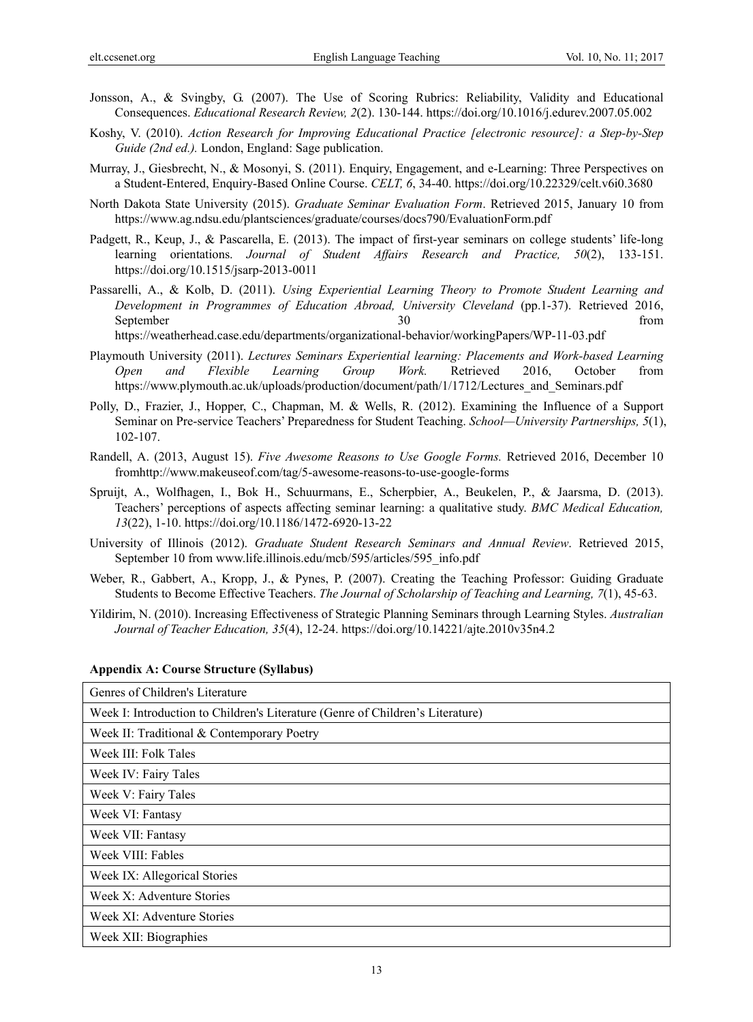- Jonsson, A., & Svingby, G. (2007). The Use of Scoring Rubrics: Reliability, Validity and Educational Consequences. *Educational Research Review, 2*(2). 130-144. https://doi.org/10.1016/j.edurev.2007.05.002
- Koshy, V. (2010). *Action Research for Improving Educational Practice [electronic resource]: a Step-by-Step Guide (2nd ed.).* London, England: Sage publication.
- Murray, J., Giesbrecht, N., & Mosonyi, S. (2011). Enquiry, Engagement, and e-Learning: Three Perspectives on a Student-Entered, Enquiry-Based Online Course. *CELT, 6*, 34-40. https://doi.org/10.22329/celt.v6i0.3680
- North Dakota State University (2015). *Graduate Seminar Evaluation Form*. Retrieved 2015, January 10 from https://www.ag.ndsu.edu/plantsciences/graduate/courses/docs790/EvaluationForm.pdf
- Padgett, R., Keup, J., & Pascarella, E. (2013). The impact of first-year seminars on college students' life-long learning orientations. *Journal of Student Affairs Research and Practice, 50*(2), 133-151. https://doi.org/10.1515/jsarp-2013-0011
- Passarelli, A., & Kolb, D. (2011). *Using Experiential Learning Theory to Promote Student Learning and Development in Programmes of Education Abroad, University Cleveland* (pp.1-37). Retrieved 2016, September 30 from

https://weatherhead.case.edu/departments/organizational-behavior/workingPapers/WP-11-03.pdf

- Playmouth University (2011). *Lectures Seminars Experiential learning: Placements and Work-based Learning Open and Flexible Learning Group Work.* Retrieved 2016, October from https://www.plymouth.ac.uk/uploads/production/document/path/1/1712/Lectures\_and\_Seminars.pdf
- Polly, D., Frazier, J., Hopper, C., Chapman, M. & Wells, R. (2012). Examining the Influence of a Support Seminar on Pre-service Teachers' Preparedness for Student Teaching. *School—University Partnerships, 5*(1), 102-107.
- Randell, A. (2013, August 15). *Five Awesome Reasons to Use Google Forms.* Retrieved 2016, December 10 fromhttp://www.makeuseof.com/tag/5-awesome-reasons-to-use-google-forms
- Spruijt, A., Wolfhagen, I., Bok H., Schuurmans, E., Scherpbier, A., Beukelen, P., & Jaarsma, D. (2013). Teachers' perceptions of aspects affecting seminar learning: a qualitative study. *BMC Medical Education, 13*(22), 1-10. https://doi.org/10.1186/1472-6920-13-22
- University of Illinois (2012). *Graduate Student Research Seminars and Annual Review*. Retrieved 2015, September 10 from www.life.illinois.edu/mcb/595/articles/595\_info.pdf
- Weber, R., Gabbert, A., Kropp, J., & Pynes, P. (2007). Creating the Teaching Professor: Guiding Graduate Students to Become Effective Teachers. *The Journal of Scholarship of Teaching and Learning, 7*(1), 45-63.
- Yildirim, N. (2010). Increasing Effectiveness of Strategic Planning Seminars through Learning Styles. *Australian Journal of Teacher Education, 35*(4), 12-24. https://doi.org/10.14221/ajte.2010v35n4.2

| <b>Appendix A: Course Structure (Syllabus)</b> |  |  |  |
|------------------------------------------------|--|--|--|
|------------------------------------------------|--|--|--|

| Genres of Children's Literature                                                |  |  |  |  |
|--------------------------------------------------------------------------------|--|--|--|--|
| Week I: Introduction to Children's Literature (Genre of Children's Literature) |  |  |  |  |
| Week II: Traditional & Contemporary Poetry                                     |  |  |  |  |
| Week III: Folk Tales                                                           |  |  |  |  |
| Week IV: Fairy Tales                                                           |  |  |  |  |
| Week V: Fairy Tales                                                            |  |  |  |  |
| Week VI: Fantasy                                                               |  |  |  |  |
| Week VII: Fantasy                                                              |  |  |  |  |
| Week VIII: Fables                                                              |  |  |  |  |
| Week IX: Allegorical Stories                                                   |  |  |  |  |
| Week X: Adventure Stories                                                      |  |  |  |  |
| Week XI: Adventure Stories                                                     |  |  |  |  |
| Week XII: Biographies                                                          |  |  |  |  |